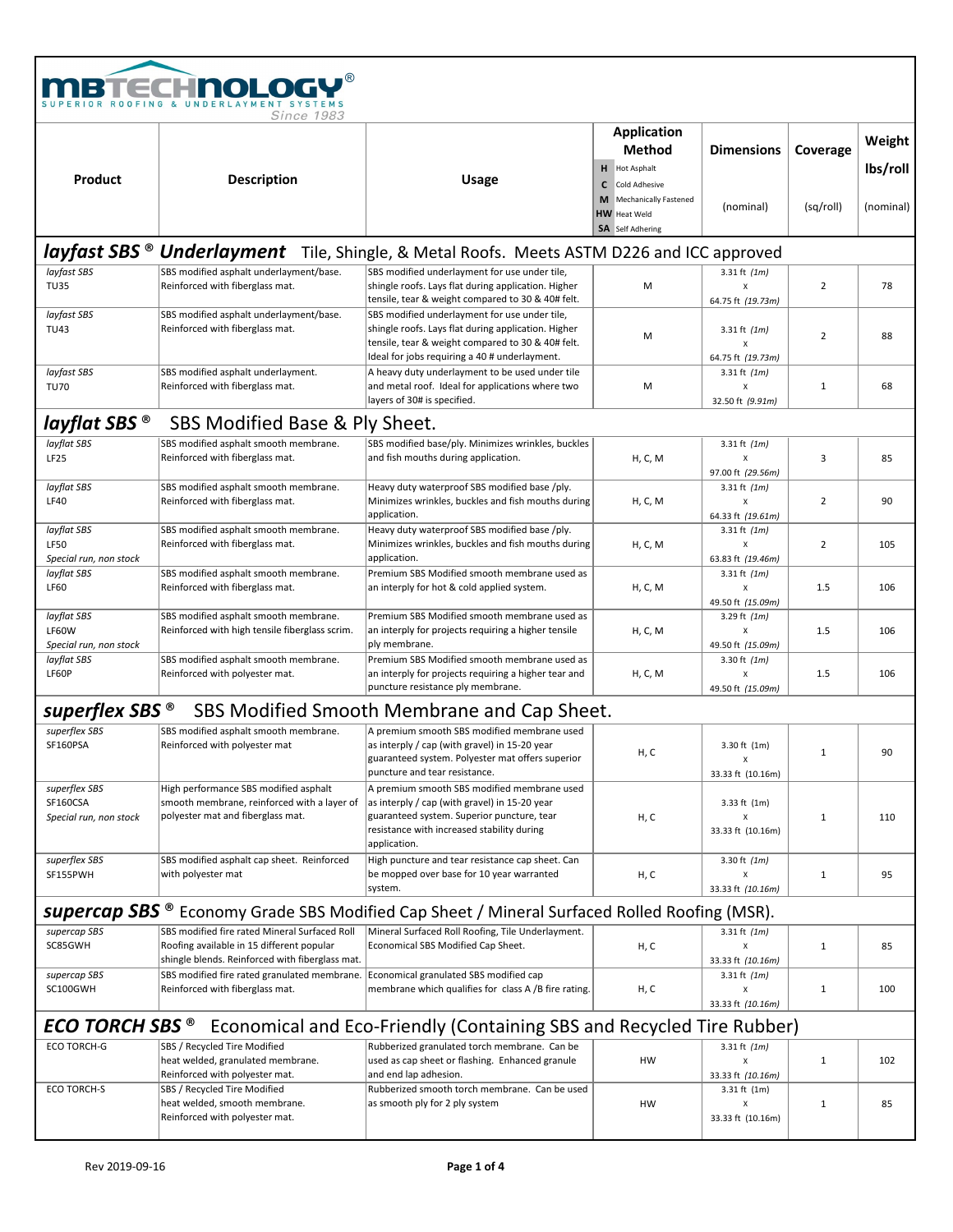| В                                                                                                       | <b>TECHNOLOGY®</b><br>Since 1983                                                                                                              |                                                                                                                                                                                                            |                                                                                                    |                                          |                |                    |  |  |
|---------------------------------------------------------------------------------------------------------|-----------------------------------------------------------------------------------------------------------------------------------------------|------------------------------------------------------------------------------------------------------------------------------------------------------------------------------------------------------------|----------------------------------------------------------------------------------------------------|------------------------------------------|----------------|--------------------|--|--|
|                                                                                                         |                                                                                                                                               |                                                                                                                                                                                                            | Application<br>Method<br>H Hot Asphalt                                                             | <b>Dimensions</b>                        | Coverage       | Weight<br>lbs/roll |  |  |
| Product                                                                                                 | <b>Description</b>                                                                                                                            | <b>Usage</b>                                                                                                                                                                                               | c<br>Cold Adhesive<br><b>Mechanically Fastened</b><br>M<br><b>HW</b> Heat Weld<br>SA Self Adhering | (nominal)                                | (sq/roll)      | (nominal)          |  |  |
|                                                                                                         |                                                                                                                                               | layfast SBS ® Underlayment Tile, Shingle, & Metal Roofs. Meets ASTM D226 and ICC approved                                                                                                                  |                                                                                                    |                                          |                |                    |  |  |
| layfast SBS<br><b>TU35</b>                                                                              | SBS modified asphalt underlayment/base.<br>Reinforced with fiberglass mat.                                                                    | SBS modified underlayment for use under tile,<br>shingle roofs. Lays flat during application. Higher<br>tensile, tear & weight compared to 30 & 40# felt.                                                  | M                                                                                                  | 3.31 ft $(1m)$<br>X<br>64.75 ft (19.73m) | $\overline{2}$ | 78                 |  |  |
| layfast SBS<br><b>TU43</b>                                                                              | SBS modified asphalt underlayment/base.<br>Reinforced with fiberglass mat.                                                                    | SBS modified underlayment for use under tile,<br>shingle roofs. Lays flat during application. Higher<br>tensile, tear & weight compared to 30 & 40# felt.<br>Ideal for jobs requiring a 40 # underlayment. | M                                                                                                  | 3.31 ft $(1m)$<br>X<br>64.75 ft (19.73m) | $\overline{2}$ | 88                 |  |  |
| layfast SBS<br><b>TU70</b>                                                                              | SBS modified asphalt underlayment.<br>Reinforced with fiberglass mat.                                                                         | A heavy duty underlayment to be used under tile<br>and metal roof. Ideal for applications where two<br>layers of 30# is specified.                                                                         | M                                                                                                  | 3.31 ft $(1m)$<br>X<br>32.50 ft (9.91m)  | $\mathbf 1$    | 68                 |  |  |
| layflat SBS <sup>®</sup>                                                                                | SBS Modified Base & Ply Sheet.                                                                                                                |                                                                                                                                                                                                            |                                                                                                    |                                          |                |                    |  |  |
| layflat SBS<br><b>LF25</b>                                                                              | SBS modified asphalt smooth membrane.<br>Reinforced with fiberglass mat.                                                                      | SBS modified base/ply. Minimizes wrinkles, buckles<br>and fish mouths during application.                                                                                                                  | H, C, M                                                                                            | 3.31 ft $(1m)$<br>Χ<br>97.00 ft (29.56m) | 3              | 85                 |  |  |
| layflat SBS<br><b>LF40</b>                                                                              | SBS modified asphalt smooth membrane.<br>Reinforced with fiberglass mat.                                                                      | Heavy duty waterproof SBS modified base /ply.<br>Minimizes wrinkles, buckles and fish mouths during<br>application.                                                                                        | H, C, M                                                                                            | 3.31 ft $(1m)$<br>X<br>64.33 ft (19.61m) | $\overline{2}$ | 90                 |  |  |
| layflat SBS<br><b>LF50</b><br>Special run, non stock                                                    | SBS modified asphalt smooth membrane.<br>Reinforced with fiberglass mat.                                                                      | Heavy duty waterproof SBS modified base /ply.<br>Minimizes wrinkles, buckles and fish mouths during<br>application.                                                                                        | H, C, M                                                                                            | 3.31 ft $(1m)$<br>X<br>63.83 ft (19.46m) | $\overline{2}$ | 105                |  |  |
| layflat SBS<br><b>LF60</b>                                                                              | SBS modified asphalt smooth membrane.<br>Reinforced with fiberglass mat.                                                                      | Premium SBS Modified smooth membrane used as<br>an interply for hot & cold applied system.                                                                                                                 | H, C, M                                                                                            | 3.31 ft $(1m)$<br>X<br>49.50 ft (15.09m) | 1.5            | 106                |  |  |
| layflat SBS<br>LF60W<br>Special run, non stock                                                          | SBS modified asphalt smooth membrane.<br>Reinforced with high tensile fiberglass scrim.                                                       | Premium SBS Modified smooth membrane used as<br>an interply for projects requiring a higher tensile<br>ply membrane.                                                                                       | H, C, M                                                                                            | 3.29 ft $(1m)$<br>X<br>49.50 ft (15.09m) | 1.5            | 106                |  |  |
| layflat SBS<br>LF60P                                                                                    | SBS modified asphalt smooth membrane.<br>Reinforced with polyester mat.                                                                       | Premium SBS Modified smooth membrane used as<br>an interply for projects requiring a higher tear and<br>puncture resistance ply membrane.                                                                  | H, C, M                                                                                            | 3.30 ft $(1m)$<br>X<br>49.50 ft (15.09m) | 1.5            | 106                |  |  |
| superflex SBS <sup>®</sup>                                                                              |                                                                                                                                               | SBS Modified Smooth Membrane and Cap Sheet.                                                                                                                                                                |                                                                                                    |                                          |                |                    |  |  |
| superflex SBS<br>SF160PSA                                                                               | SBS modified asphalt smooth membrane.<br>Reinforced with polyester mat                                                                        | A premium smooth SBS modified membrane used<br>as interply / cap (with gravel) in 15-20 year<br>guaranteed system. Polyester mat offers superior<br>puncture and tear resistance.                          | H, C                                                                                               | 3.30 ft (1m)<br>Х<br>33.33 ft (10.16m)   | 1              | 90                 |  |  |
| superflex SBS<br>SF160CSA<br>Special run, non stock                                                     | High performance SBS modified asphalt<br>smooth membrane, reinforced with a layer of<br>polyester mat and fiberglass mat.                     | A premium smooth SBS modified membrane used<br>as interply / cap (with gravel) in 15-20 year<br>guaranteed system. Superior puncture, tear<br>resistance with increased stability during<br>application.   | H, C                                                                                               | 3.33 ft (1m)<br>х<br>33.33 ft (10.16m)   | 1              | 110                |  |  |
| superflex SBS<br>SF155PWH                                                                               | SBS modified asphalt cap sheet. Reinforced<br>with polyester mat                                                                              | High puncture and tear resistance cap sheet. Can<br>be mopped over base for 10 year warranted<br>system.                                                                                                   | H, C                                                                                               | 3.30 ft $(1m)$<br>X<br>33.33 ft (10.16m) | 1              | 95                 |  |  |
|                                                                                                         |                                                                                                                                               | <b>supercap SBS</b> ® Economy Grade SBS Modified Cap Sheet / Mineral Surfaced Rolled Roofing (MSR).                                                                                                        |                                                                                                    |                                          |                |                    |  |  |
| supercap SBS<br>SC85GWH                                                                                 | SBS modified fire rated Mineral Surfaced Roll<br>Roofing available in 15 different popular<br>shingle blends. Reinforced with fiberglass mat. | Mineral Surfaced Roll Roofing, Tile Underlayment.<br>Economical SBS Modified Cap Sheet.                                                                                                                    | H, C                                                                                               | 3.31 ft $(1m)$<br>X<br>33.33 ft (10.16m) | 1              | 85                 |  |  |
| supercap SBS<br>SC100GWH                                                                                | SBS modified fire rated granulated membrane.<br>Reinforced with fiberglass mat.                                                               | Economical granulated SBS modified cap<br>membrane which qualifies for class A /B fire rating.                                                                                                             | H, C                                                                                               | 3.31 ft $(1m)$<br>Χ<br>33.33 ft (10.16m) | 1              | 100                |  |  |
| <b>ECO TORCH SBS</b> <sup>®</sup> Economical and Eco-Friendly (Containing SBS and Recycled Tire Rubber) |                                                                                                                                               |                                                                                                                                                                                                            |                                                                                                    |                                          |                |                    |  |  |
| <b>ECO TORCH-G</b>                                                                                      | SBS / Recycled Tire Modified<br>heat welded, granulated membrane.<br>Reinforced with polyester mat.                                           | Rubberized granulated torch membrane. Can be<br>used as cap sheet or flashing. Enhanced granule<br>and end lap adhesion.                                                                                   | HW                                                                                                 | 3.31 ft $(1m)$<br>X<br>33.33 ft (10.16m) | 1              | 102                |  |  |
| <b>ECO TORCH-S</b>                                                                                      | SBS / Recycled Tire Modified<br>heat welded, smooth membrane.<br>Reinforced with polyester mat.                                               | Rubberized smooth torch membrane. Can be used<br>as smooth ply for 2 ply system                                                                                                                            | HW                                                                                                 | 3.31 ft (1m)<br>X<br>33.33 ft (10.16m)   | 1              | 85                 |  |  |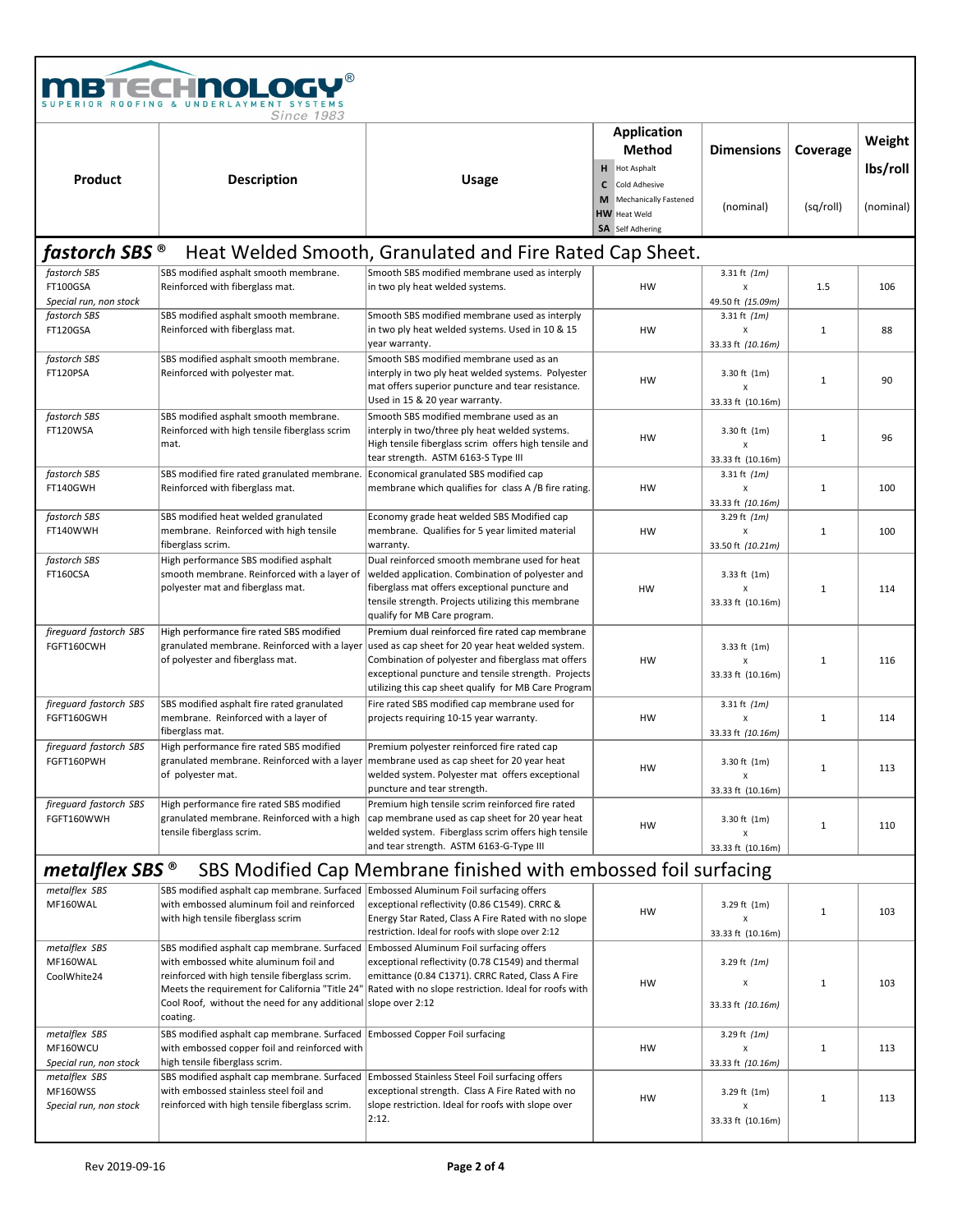|                                                     | <b>BTECHNOLOGY®</b><br>RIOR ROOFING & UNDERLAYMENT SYSTEMS<br><b>Since 1983</b>                                                                                                                                                                                         |                                                                                                                                                                                                                                                                           |                                                                                             |                                                           |              |                    |
|-----------------------------------------------------|-------------------------------------------------------------------------------------------------------------------------------------------------------------------------------------------------------------------------------------------------------------------------|---------------------------------------------------------------------------------------------------------------------------------------------------------------------------------------------------------------------------------------------------------------------------|---------------------------------------------------------------------------------------------|-----------------------------------------------------------|--------------|--------------------|
| Product                                             | <b>Description</b>                                                                                                                                                                                                                                                      | <b>Usage</b>                                                                                                                                                                                                                                                              | <b>Application</b><br>Method<br>H Hot Asphalt                                               | <b>Dimensions</b>                                         | Coverage     | Weight<br>lbs/roll |
|                                                     |                                                                                                                                                                                                                                                                         |                                                                                                                                                                                                                                                                           | Cold Adhesive<br>C<br>Mechanically Fastened<br>M<br><b>HW</b> Heat Weld<br>SA Self Adhering | (nominal)                                                 | (sq/roll)    | (nominal)          |
| fastorch SBS ®                                      |                                                                                                                                                                                                                                                                         | Heat Welded Smooth, Granulated and Fire Rated Cap Sheet.                                                                                                                                                                                                                  |                                                                                             |                                                           |              |                    |
| fastorch SBS<br>FT100GSA<br>Special run, non stock  | SBS modified asphalt smooth membrane.<br>Reinforced with fiberglass mat.                                                                                                                                                                                                | Smooth SBS modified membrane used as interply<br>in two ply heat welded systems.                                                                                                                                                                                          | HW                                                                                          | 3.31 ft $(1m)$<br>X<br>49.50 ft (15.09m)                  | 1.5          | 106                |
| fastorch SBS<br>FT120GSA                            | SBS modified asphalt smooth membrane.<br>Reinforced with fiberglass mat.                                                                                                                                                                                                | Smooth SBS modified membrane used as interply<br>in two ply heat welded systems. Used in 10 & 15<br>year warranty.                                                                                                                                                        | HW                                                                                          | 3.31 ft $(1m)$<br>X<br>33.33 ft (10.16m)                  | $\mathbf{1}$ | 88                 |
| fastorch SBS<br>FT120PSA                            | SBS modified asphalt smooth membrane.<br>Reinforced with polyester mat.                                                                                                                                                                                                 | Smooth SBS modified membrane used as an<br>interply in two ply heat welded systems. Polyester<br>mat offers superior puncture and tear resistance.<br>Used in 15 & 20 year warranty.                                                                                      | HW                                                                                          | 3.30 ft $(1m)$<br>$\pmb{\chi}$<br>33.33 ft (10.16m)       | $\mathbf{1}$ | 90                 |
| fastorch SBS<br>FT120WSA                            | SBS modified asphalt smooth membrane.<br>Reinforced with high tensile fiberglass scrim<br>mat.                                                                                                                                                                          | Smooth SBS modified membrane used as an<br>interply in two/three ply heat welded systems.<br>High tensile fiberglass scrim offers high tensile and<br>tear strength. ASTM 6163-S Type III                                                                                 | HW                                                                                          | 3.30 ft $(1m)$<br>$\pmb{\chi}$<br>33.33 ft (10.16m)       | $\mathbf{1}$ | 96                 |
| fastorch SBS<br>FT140GWH                            | SBS modified fire rated granulated membrane.<br>Reinforced with fiberglass mat.                                                                                                                                                                                         | Economical granulated SBS modified cap<br>membrane which qualifies for class A /B fire rating.                                                                                                                                                                            | HW                                                                                          | 3.31 ft $(1m)$<br>X<br>33.33 ft (10.16m)                  | $\mathbf{1}$ | 100                |
| fastorch SBS<br>FT140WWH                            | SBS modified heat welded granulated<br>membrane. Reinforced with high tensile<br>fiberglass scrim.                                                                                                                                                                      | Economy grade heat welded SBS Modified cap<br>membrane. Qualifies for 5 year limited material<br>warranty.                                                                                                                                                                | HW                                                                                          | 3.29 ft $(1m)$<br>X<br>33.50 ft (10.21m)                  | $\mathbf{1}$ | 100                |
| fastorch SBS<br>FT160CSA                            | High performance SBS modified asphalt<br>smooth membrane. Reinforced with a layer of<br>polyester mat and fiberglass mat.                                                                                                                                               | Dual reinforced smooth membrane used for heat<br>welded application. Combination of polyester and<br>fiberglass mat offers exceptional puncture and<br>tensile strength. Projects utilizing this membrane<br>qualify for MB Care program.                                 | HW                                                                                          | $3.33$ ft $(1m)$<br>X<br>33.33 ft (10.16m)                | $\mathbf{1}$ | 114                |
| fireguard fastorch SBS<br>FGFT160CWH                | High performance fire rated SBS modified<br>granulated membrane. Reinforced with a layer<br>of polyester and fiberglass mat.                                                                                                                                            | Premium dual reinforced fire rated cap membrane<br>used as cap sheet for 20 year heat welded system.<br>Combination of polyester and fiberglass mat offers<br>exceptional puncture and tensile strength. Projects<br>utilizing this cap sheet qualify for MB Care Program | HW                                                                                          | 3.33 ft $(1m)$<br>$\pmb{\mathsf{X}}$<br>33.33 ft (10.16m) | $\mathbf{1}$ | 116                |
| fireguard fastorch SBS<br>FGFT160GWH                | SBS modified asphalt fire rated granulated<br>membrane. Reinforced with a layer of<br>fiberglass mat.                                                                                                                                                                   | Fire rated SBS modified cap membrane used for<br>projects requiring 10-15 year warranty.                                                                                                                                                                                  | HW                                                                                          | 3.31 ft $(1m)$<br>X<br>33.33 ft (10.16m)                  | $\mathbf{1}$ | 114                |
| fireguard fastorch SBS<br>FGFT160PWH                | High performance fire rated SBS modified<br>of polyester mat.                                                                                                                                                                                                           | Premium polyester reinforced fire rated cap<br>granulated membrane. Reinforced with a layer   membrane used as cap sheet for 20 year heat<br>welded system. Polyester mat offers exceptional<br>puncture and tear strength.                                               | HW                                                                                          | 3.30 ft (1m)<br>X<br>33.33 ft (10.16m)                    | $1\,$        | 113                |
| fireguard fastorch SBS<br>FGFT160WWH                | High performance fire rated SBS modified<br>granulated membrane. Reinforced with a high<br>tensile fiberglass scrim.                                                                                                                                                    | Premium high tensile scrim reinforced fire rated<br>cap membrane used as cap sheet for 20 year heat<br>welded system. Fiberglass scrim offers high tensile<br>and tear strength. ASTM 6163-G-Type III                                                                     | HW                                                                                          | 3.30 ft (1m)<br>X<br>33.33 ft (10.16m)                    | $1\,$        | 110                |
| metalflex SBS $^{\circ}$                            |                                                                                                                                                                                                                                                                         | SBS Modified Cap Membrane finished with embossed foil surfacing                                                                                                                                                                                                           |                                                                                             |                                                           |              |                    |
| metalflex SBS<br>MF160WAL                           | SBS modified asphalt cap membrane. Surfaced Embossed Aluminum Foil surfacing offers<br>with embossed aluminum foil and reinforced<br>with high tensile fiberglass scrim                                                                                                 | exceptional reflectivity (0.86 C1549). CRRC &<br>Energy Star Rated, Class A Fire Rated with no slope<br>restriction. Ideal for roofs with slope over 2:12                                                                                                                 | HW                                                                                          | 3.29 ft (1m)<br>$\pmb{\mathsf{X}}$<br>33.33 ft (10.16m)   | $1\,$        | 103                |
| metalflex SBS<br>MF160WAL<br>CoolWhite24            | SBS modified asphalt cap membrane. Surfaced<br>with embossed white aluminum foil and<br>reinforced with high tensile fiberglass scrim.<br>Meets the requirement for California "Title 24"<br>Cool Roof, without the need for any additional slope over 2:12<br>coating. | Embossed Aluminum Foil surfacing offers<br>exceptional reflectivity (0.78 C1549) and thermal<br>emittance (0.84 C1371). CRRC Rated, Class A Fire<br>Rated with no slope restriction. Ideal for roofs with                                                                 | HW                                                                                          | 3.29 ft $(1m)$<br>X<br>33.33 ft (10.16m)                  | $\mathbf 1$  | 103                |
| metalflex SBS<br>MF160WCU<br>Special run, non stock | SBS modified asphalt cap membrane. Surfaced   Embossed Copper Foil surfacing<br>with embossed copper foil and reinforced with<br>high tensile fiberglass scrim.                                                                                                         |                                                                                                                                                                                                                                                                           | HW                                                                                          | 3.29 ft $(1m)$<br>x<br>33.33 ft (10.16m)                  | 1            | 113                |
| metalflex SBS<br>MF160WSS<br>Special run, non stock | SBS modified asphalt cap membrane. Surfaced Embossed Stainless Steel Foil surfacing offers<br>with embossed stainless steel foil and<br>reinforced with high tensile fiberglass scrim.                                                                                  | exceptional strength. Class A Fire Rated with no<br>slope restriction. Ideal for roofs with slope over<br>2:12.                                                                                                                                                           | HW                                                                                          | 3.29 ft (1m)<br>X<br>33.33 ft (10.16m)                    | $\mathbf 1$  | 113                |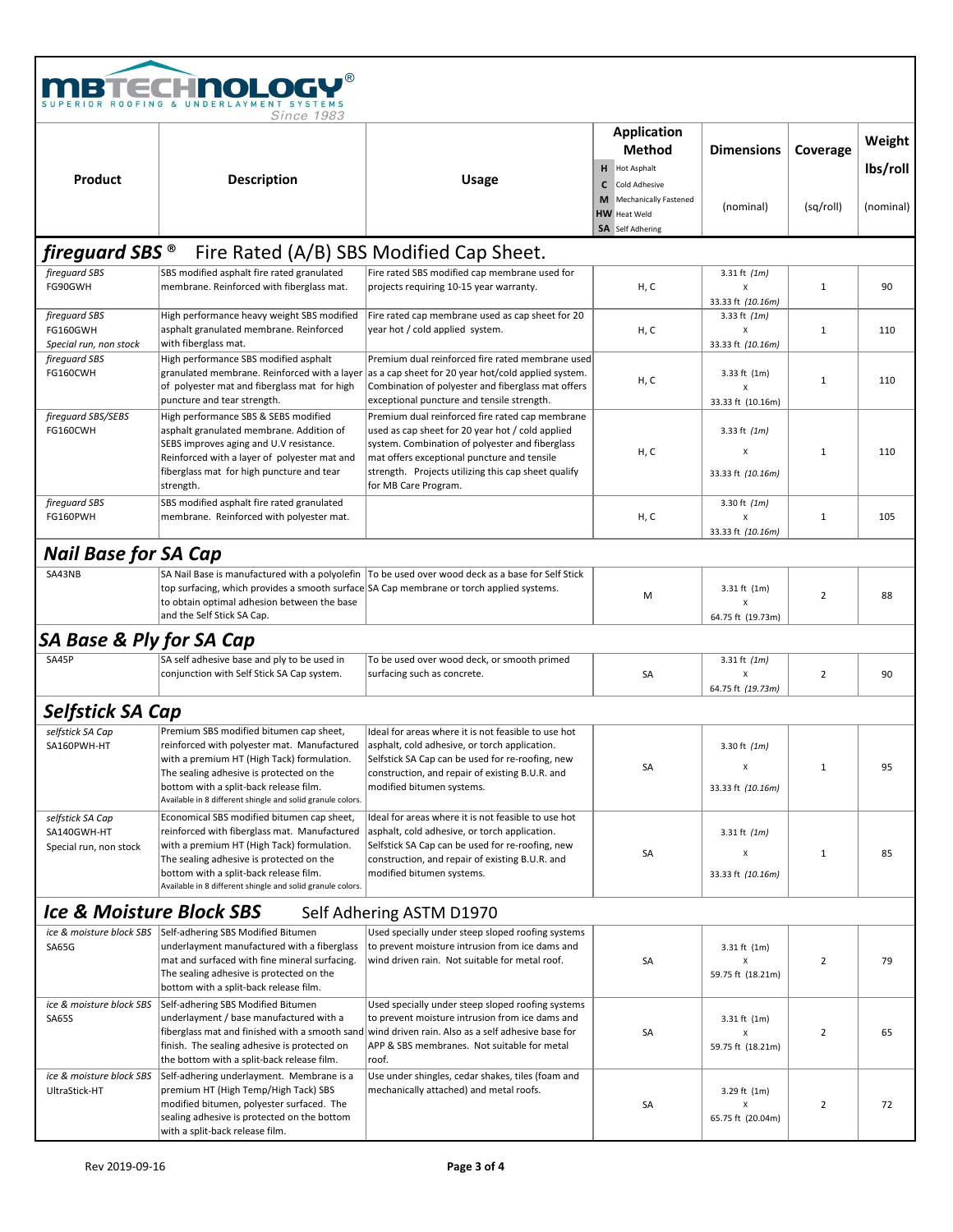|                                                           | <b>TECHNOLOGY®</b><br><i>Since</i> 1983                                                                                                                                                                                                                                                      |                                                                                                                                                                                                                                                                                      |                                                                                             |                                                  |                |                    |
|-----------------------------------------------------------|----------------------------------------------------------------------------------------------------------------------------------------------------------------------------------------------------------------------------------------------------------------------------------------------|--------------------------------------------------------------------------------------------------------------------------------------------------------------------------------------------------------------------------------------------------------------------------------------|---------------------------------------------------------------------------------------------|--------------------------------------------------|----------------|--------------------|
|                                                           |                                                                                                                                                                                                                                                                                              |                                                                                                                                                                                                                                                                                      | Application<br><b>Method</b><br>H Hot Asphalt                                               | <b>Dimensions</b>                                | Coverage       | Weight<br>lbs/roll |
| Product                                                   | <b>Description</b>                                                                                                                                                                                                                                                                           | <b>Usage</b>                                                                                                                                                                                                                                                                         | Cold Adhesive<br>c<br>Mechanically Fastened<br>M<br><b>HW</b> Heat Weld<br>SA Self Adhering | (nominal)                                        | (sq/roll)      | (nominal)          |
| fireguard SBS <sup>®</sup>                                |                                                                                                                                                                                                                                                                                              | Fire Rated (A/B) SBS Modified Cap Sheet.                                                                                                                                                                                                                                             |                                                                                             |                                                  |                |                    |
| fireguard SBS<br>FG90GWH                                  | SBS modified asphalt fire rated granulated<br>membrane. Reinforced with fiberglass mat.                                                                                                                                                                                                      | Fire rated SBS modified cap membrane used for<br>projects requiring 10-15 year warranty.                                                                                                                                                                                             | H, C                                                                                        | 3.31 ft $(1m)$<br>X<br>33.33 ft (10.16m)         | $\mathbf{1}$   | 90                 |
| fireguard SBS<br>FG160GWH<br>Special run, non stock       | High performance heavy weight SBS modified<br>asphalt granulated membrane. Reinforced<br>with fiberglass mat.                                                                                                                                                                                | Fire rated cap membrane used as cap sheet for 20<br>year hot / cold applied system.                                                                                                                                                                                                  | H, C                                                                                        | 3.33 ft $(1m)$<br>Χ<br>33.33 ft (10.16m)         | $\mathbf{1}$   | 110                |
| fireguard SBS<br>FG160CWH                                 | High performance SBS modified asphalt<br>granulated membrane. Reinforced with a layer<br>of polyester mat and fiberglass mat for high<br>puncture and tear strength.                                                                                                                         | Premium dual reinforced fire rated membrane used<br>as a cap sheet for 20 year hot/cold applied system.<br>Combination of polyester and fiberglass mat offers<br>exceptional puncture and tensile strength.                                                                          | H, C                                                                                        | 3.33 ft (1m)<br>x<br>33.33 ft (10.16m)           | $\mathbf{1}$   | 110                |
| fireguard SBS/SEBS<br>FG160CWH                            | High performance SBS & SEBS modified<br>asphalt granulated membrane. Addition of<br>SEBS improves aging and U.V resistance.<br>Reinforced with a layer of polyester mat and<br>fiberglass mat for high puncture and tear<br>strength.                                                        | Premium dual reinforced fire rated cap membrane<br>used as cap sheet for 20 year hot / cold applied<br>system. Combination of polyester and fiberglass<br>mat offers exceptional puncture and tensile<br>strength. Projects utilizing this cap sheet qualify<br>for MB Care Program. | H, C                                                                                        | 3.33 ft $(1m)$<br>X<br>33.33 ft (10.16m)         | $\mathbf{1}$   | 110                |
| fireguard SBS<br>FG160PWH                                 | SBS modified asphalt fire rated granulated<br>membrane. Reinforced with polyester mat.                                                                                                                                                                                                       |                                                                                                                                                                                                                                                                                      | H, C                                                                                        | 3.30 ft $(1m)$<br>x<br>33.33 ft (10.16m)         | $\mathbf{1}$   | 105                |
| <b>Nail Base for SA Cap</b>                               |                                                                                                                                                                                                                                                                                              |                                                                                                                                                                                                                                                                                      |                                                                                             |                                                  |                |                    |
| SA43NB                                                    | top surfacing, which provides a smooth surface SA Cap membrane or torch applied systems.<br>to obtain optimal adhesion between the base<br>and the Self Stick SA Cap.                                                                                                                        | SA Nail Base is manufactured with a polyolefin   To be used over wood deck as a base for Self Stick                                                                                                                                                                                  | M                                                                                           | 3.31 ft (1m)<br>x<br>64.75 ft (19.73m)           | $\overline{2}$ | 88                 |
| <b>SA Base &amp; Ply for SA Cap</b>                       |                                                                                                                                                                                                                                                                                              |                                                                                                                                                                                                                                                                                      |                                                                                             |                                                  |                |                    |
| SA45P                                                     | SA self adhesive base and ply to be used in<br>conjunction with Self Stick SA Cap system.                                                                                                                                                                                                    | To be used over wood deck, or smooth primed<br>surfacing such as concrete.                                                                                                                                                                                                           | SA                                                                                          | 3.31 ft $(1m)$<br>X<br>64.75 ft (19.73m)         | $\overline{2}$ | 90                 |
| <b>Selfstick SA Cap</b>                                   |                                                                                                                                                                                                                                                                                              |                                                                                                                                                                                                                                                                                      |                                                                                             |                                                  |                |                    |
| selfstick SA Cap<br>SA160PWH-HT                           | Premium SBS modified bitumen cap sheet,<br>reinforced with polyester mat. Manufactured<br>with a premium HT (High Tack) formulation.<br>The sealing adhesive is protected on the<br>bottom with a split-back release film.<br>Available in 8 different shingle and solid granule colors.     | Ideal for areas where it is not feasible to use hot<br>asphalt, cold adhesive, or torch application.<br>Selfstick SA Cap can be used for re-roofing, new<br>construction, and repair of existing B.U.R. and<br>modified bitumen systems.                                             | SA                                                                                          | 3.30 ft $(1m)$<br>X<br>33.33 ft (10.16m)         | $\mathbf{1}$   | 95                 |
| selfstick SA Cap<br>SA140GWH-HT<br>Special run, non stock | Economical SBS modified bitumen cap sheet,<br>reinforced with fiberglass mat. Manufactured<br>with a premium HT (High Tack) formulation.<br>The sealing adhesive is protected on the<br>bottom with a split-back release film.<br>Available in 8 different shingle and solid granule colors. | Ideal for areas where it is not feasible to use hot<br>asphalt, cold adhesive, or torch application.<br>Selfstick SA Cap can be used for re-roofing, new<br>construction, and repair of existing B.U.R. and<br>modified bitumen systems.                                             | SA                                                                                          | 3.31 ft $(1m)$<br>Χ<br>33.33 ft (10.16m)         | $\mathbf{1}$   | 85                 |
| <b>Ice &amp; Moisture Block SBS</b>                       |                                                                                                                                                                                                                                                                                              | Self Adhering ASTM D1970                                                                                                                                                                                                                                                             |                                                                                             |                                                  |                |                    |
| ice & moisture block SBS<br><b>SA65G</b>                  | Self-adhering SBS Modified Bitumen<br>underlayment manufactured with a fiberglass<br>mat and surfaced with fine mineral surfacing.<br>The sealing adhesive is protected on the<br>bottom with a split-back release film.                                                                     | Used specially under steep sloped roofing systems<br>to prevent moisture intrusion from ice dams and<br>wind driven rain. Not suitable for metal roof.                                                                                                                               | SA                                                                                          | $3.31$ ft $(1m)$<br>Χ<br>59.75 ft (18.21m)       | $\overline{2}$ | 79                 |
| ice & moisture block SBS<br><b>SA65S</b>                  | Self-adhering SBS Modified Bitumen<br>underlayment / base manufactured with a<br>fiberglass mat and finished with a smooth sand<br>finish. The sealing adhesive is protected on<br>the bottom with a split-back release film.                                                                | Used specially under steep sloped roofing systems<br>to prevent moisture intrusion from ice dams and<br>wind driven rain. Also as a self adhesive base for<br>APP & SBS membranes. Not suitable for metal<br>roof.                                                                   | SA                                                                                          | $3.31 \text{ ft}$ (1m)<br>Χ<br>59.75 ft (18.21m) | $\overline{2}$ | 65                 |
| ice & moisture block SBS<br>UltraStick-HT                 | Self-adhering underlayment. Membrane is a<br>premium HT (High Temp/High Tack) SBS<br>modified bitumen, polyester surfaced. The<br>sealing adhesive is protected on the bottom<br>with a split-back release film.                                                                             | Use under shingles, cedar shakes, tiles (foam and<br>mechanically attached) and metal roofs.                                                                                                                                                                                         | SA                                                                                          | 3.29 ft (1m)<br>х<br>65.75 ft (20.04m)           | $\overline{2}$ | 72                 |